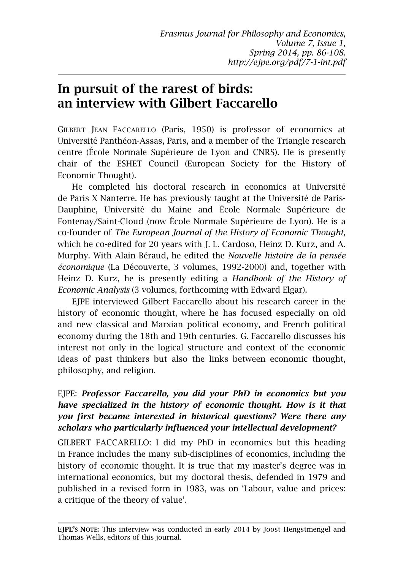# **In pursuit of the rarest of birds: an interview with Gilbert Faccarello**

GILBERT JEAN FACCARELLO (Paris, 1950) is professor of economics at Université Panthéon-Assas, Paris, and a member of the Triangle research centre (École Normale Supérieure de Lyon and CNRS). He is presently chair of the ESHET Council (European Society for the History of Economic Thought).

He completed his doctoral research in economics at Université de Paris X Nanterre. He has previously taught at the Université de Paris-Dauphine, Université du Maine and École Normale Supérieure de Fontenay/Saint-Cloud (now École Normale Supérieure de Lyon). He is a co-founder of *The European Journal of the History of Economic Thought*, which he co-edited for 20 years with J. L. Cardoso, Heinz D. Kurz, and A. Murphy. With Alain Béraud, he edited the *Nouvelle histoire de la pensée économique* (La Découverte, 3 volumes, 1992-2000) and, together with Heinz D. Kurz, he is presently editing a *Handbook of the History of Economic Analysis* (3 volumes, forthcoming with Edward Elgar).

EJPE interviewed Gilbert Faccarello about his research career in the history of economic thought, where he has focused especially on old and new classical and Marxian political economy, and French political economy during the 18th and 19th centuries. G. Faccarello discusses his interest not only in the logical structure and context of the economic ideas of past thinkers but also the links between economic thought, philosophy, and religion.

## EJPE: *Professor Faccarello, you did your PhD in economics but you have specialized in the history of economic thought. How is it that you first became interested in historical questions? Were there any scholars who particularly influenced your intellectual development?*

GILBERT FACCARELLO: I did my PhD in economics but this heading in France includes the many sub-disciplines of economics, including the history of economic thought. It is true that my master's degree was in international economics, but my doctoral thesis, defended in 1979 and published in a revised form in 1983, was on 'Labour, value and prices: a critique of the theory of value'.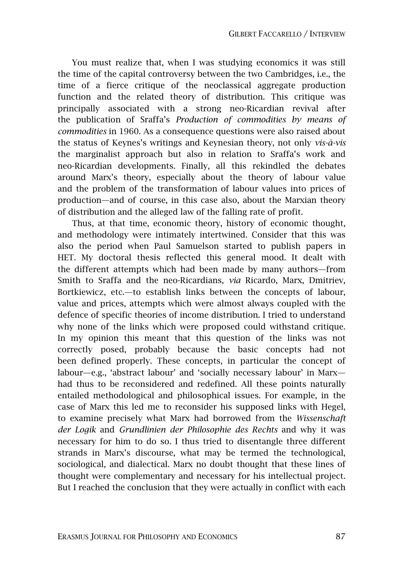You must realize that, when I was studying economics it was still the time of the capital controversy between the two Cambridges, i.e., the time of a fierce critique of the neoclassical aggregate production function and the related theory of distribution. This critique was principally associated with a strong neo-Ricardian revival after the publication of Sraffa's *Production of commodities by means of commodities* in 1960. As a consequence questions were also raised about the status of Keynes's writings and Keynesian theory, not only *vis-à-vis* the marginalist approach but also in relation to Sraffa's work and neo-Ricardian developments. Finally, all this rekindled the debates around Marx's theory, especially about the theory of labour value and the problem of the transformation of labour values into prices of production—and of course, in this case also, about the Marxian theory of distribution and the alleged law of the falling rate of profit.

Thus, at that time, economic theory, history of economic thought, and methodology were intimately intertwined. Consider that this was also the period when Paul Samuelson started to publish papers in HET. My doctoral thesis reflected this general mood. It dealt with the different attempts which had been made by many authors—from Smith to Sraffa and the neo-Ricardians, *via* Ricardo, Marx, Dmitriev, Bortkiewicz, etc.—to establish links between the concepts of labour, value and prices, attempts which were almost always coupled with the defence of specific theories of income distribution. I tried to understand why none of the links which were proposed could withstand critique. In my opinion this meant that this question of the links was not correctly posed, probably because the basic concepts had not been defined properly. These concepts, in particular the concept of labour—e.g., 'abstract labour' and 'socially necessary labour' in Marx had thus to be reconsidered and redefined. All these points naturally entailed methodological and philosophical issues. For example, in the case of Marx this led me to reconsider his supposed links with Hegel, to examine precisely what Marx had borrowed from the *Wissenschaft der Logik* and *Grundlinien der Philosophie des Rechts* and why it was necessary for him to do so. I thus tried to disentangle three different strands in Marx's discourse, what may be termed the technological, sociological, and dialectical. Marx no doubt thought that these lines of thought were complementary and necessary for his intellectual project. But I reached the conclusion that they were actually in conflict with each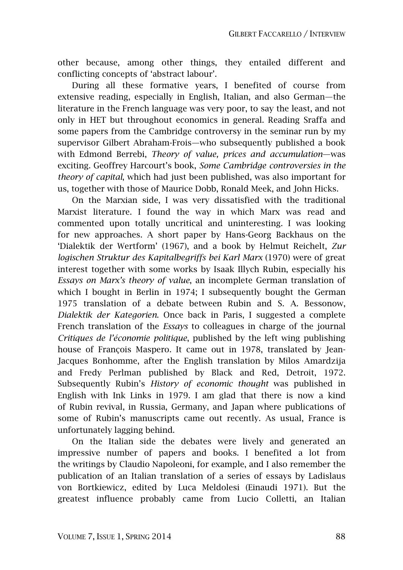other because, among other things, they entailed different and conflicting concepts of 'abstract labour'.

During all these formative years, I benefited of course from extensive reading, especially in English, Italian, and also German—the literature in the French language was very poor, to say the least, and not only in HET but throughout economics in general. Reading Sraffa and some papers from the Cambridge controversy in the seminar run by my supervisor Gilbert Abraham-Frois—who subsequently published a book with Edmond Berrebi, *Theory of value, prices and accumulation*—was exciting. Geoffrey Harcourt's book, *Some Cambridge controversies in the theory of capital*, which had just been published, was also important for us, together with those of Maurice Dobb, Ronald Meek, and John Hicks.

On the Marxian side, I was very dissatisfied with the traditional Marxist literature. I found the way in which Marx was read and commented upon totally uncritical and uninteresting. I was looking for new approaches. A short paper by Hans-Georg Backhaus on the 'Dialektik der Wertform' (1967), and a book by Helmut Reichelt, *Zur logischen Struktur des Kapitalbegriffs bei Karl Marx* (1970) were of great interest together with some works by Isaak Illych Rubin, especially his *Essays on Marx's theory of value*, an incomplete German translation of which I bought in Berlin in 1974; I subsequently bought the German 1975 translation of a debate between Rubin and S. A. Bessonow, *Dialektik der Kategorien*. Once back in Paris, I suggested a complete French translation of the *Essays* to colleagues in charge of the journal *Critiques de l'économie politique*, published by the left wing publishing house of François Maspero. It came out in 1978, translated by Jean-Jacques Bonhomme, after the English translation by Milos Amardzija and Fredy Perlman published by Black and Red, Detroit, 1972. Subsequently Rubin's *History of economic thought* was published in English with Ink Links in 1979. I am glad that there is now a kind of Rubin revival, in Russia, Germany, and Japan where publications of some of Rubin's manuscripts came out recently. As usual, France is unfortunately lagging behind.

On the Italian side the debates were lively and generated an impressive number of papers and books. I benefited a lot from the writings by Claudio Napoleoni, for example, and I also remember the publication of an Italian translation of a series of essays by Ladislaus von Bortkiewicz, edited by Luca Meldolesi (Einaudi 1971). But the greatest influence probably came from Lucio Colletti, an Italian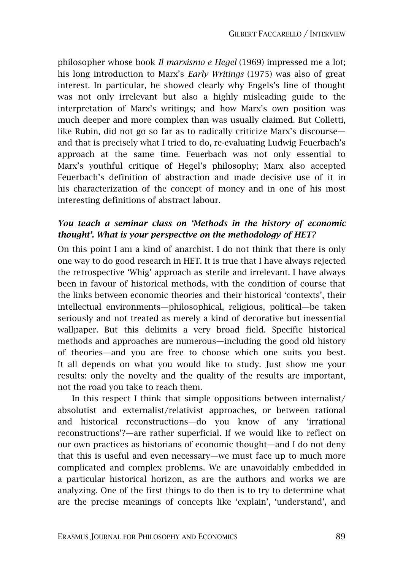philosopher whose book *Il marxismo e Hegel* (1969) impressed me a lot; his long introduction to Marx's *Early Writings* (1975) was also of great interest. In particular, he showed clearly why Engels's line of thought was not only irrelevant but also a highly misleading guide to the interpretation of Marx's writings; and how Marx's own position was much deeper and more complex than was usually claimed. But Colletti, like Rubin, did not go so far as to radically criticize Marx's discourse and that is precisely what I tried to do, re-evaluating Ludwig Feuerbach's approach at the same time. Feuerbach was not only essential to Marx's youthful critique of Hegel's philosophy; Marx also accepted Feuerbach's definition of abstraction and made decisive use of it in his characterization of the concept of money and in one of his most interesting definitions of abstract labour.

#### *You teach a seminar class on 'Methods in the history of economic thought'. What is your perspective on the methodology of HET?*

On this point I am a kind of anarchist. I do not think that there is only one way to do good research in HET. It is true that I have always rejected the retrospective 'Whig' approach as sterile and irrelevant. I have always been in favour of historical methods, with the condition of course that the links between economic theories and their historical 'contexts', their intellectual environments—philosophical, religious, political—be taken seriously and not treated as merely a kind of decorative but inessential wallpaper. But this delimits a very broad field. Specific historical methods and approaches are numerous—including the good old history of theories—and you are free to choose which one suits you best. It all depends on what you would like to study. Just show me your results: only the novelty and the quality of the results are important, not the road you take to reach them.

In this respect I think that simple oppositions between internalist/ absolutist and externalist/relativist approaches, or between rational and historical reconstructions—do you know of any 'irrational reconstructions'?—are rather superficial. If we would like to reflect on our own practices as historians of economic thought—and I do not deny that this is useful and even necessary—we must face up to much more complicated and complex problems. We are unavoidably embedded in a particular historical horizon, as are the authors and works we are analyzing. One of the first things to do then is to try to determine what are the precise meanings of concepts like 'explain', 'understand', and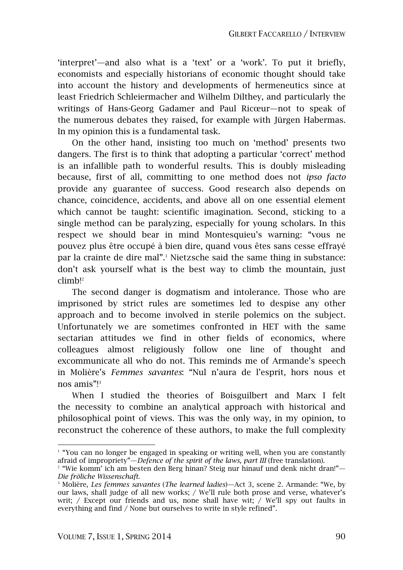'interpret'—and also what is a 'text' or a 'work'. To put it briefly, economists and especially historians of economic thought should take into account the history and developments of hermeneutics since at least Friedrich Schleiermacher and Wilhelm Dilthey, and particularly the writings of Hans-Georg Gadamer and Paul Ricœur—not to speak of the numerous debates they raised, for example with Jürgen Habermas. In my opinion this is a fundamental task.

On the other hand, insisting too much on 'method' presents two dangers. The first is to think that adopting a particular 'correct' method is an infallible path to wonderful results. This is doubly misleading because, first of all, committing to one method does not *ipso facto* provide any guarantee of success. Good research also depends on chance, coincidence, accidents, and above all on one essential element which cannot be taught: scientific imagination. Second, sticking to a single method can be paralyzing, especially for young scholars. In this respect we should bear in mind Montesquieu's warning: "vous ne pouvez plus être occupé à bien dire, quand vous êtes sans cesse effrayé par la crainte de dire mal".<sup>1</sup> Nietzsche said the same thing in substance: don't ask yourself what is the best way to climb the mountain, just climb!<sup>2</sup>

The second danger is dogmatism and intolerance. Those who are imprisoned by strict rules are sometimes led to despise any other approach and to become involved in sterile polemics on the subject. Unfortunately we are sometimes confronted in HET with the same sectarian attitudes we find in other fields of economics, where colleagues almost religiously follow one line of thought and excommunicate all who do not. This reminds me of Armande's speech in Molière's *Femmes savantes*: "Nul n'aura de l'esprit, hors nous et nos amis"!<sup>3</sup>

When I studied the theories of Boisguilbert and Marx I felt the necessity to combine an analytical approach with historical and philosophical point of views. This was the only way, in my opinion, to reconstruct the coherence of these authors, to make the full complexity

 $\overline{a}$ 

<sup>1</sup> "You can no longer be engaged in speaking or writing well, when you are constantly afraid of impropriety"—*Defence of the spirit of the laws, part III* (free translation).

<sup>2</sup> "Wie komm' ich am besten den Berg hinan? Steig nur hinauf und denk nicht dran!"— *Die fröliche Wissenschaft*.

<sup>3</sup> Molière, *Les femmes savantes* (*The learned ladies*)—Act 3, scene 2. Armande: "We, by our laws, shall judge of all new works; / We'll rule both prose and verse, whatever's writ; / Except our friends and us, none shall have wit; / We'll spy out faults in everything and find / None but ourselves to write in style refined".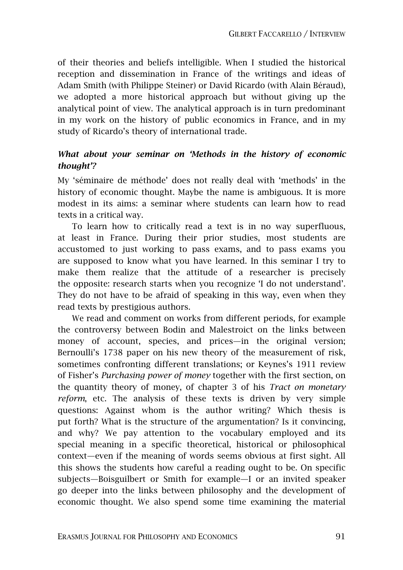of their theories and beliefs intelligible. When I studied the historical reception and dissemination in France of the writings and ideas of Adam Smith (with Philippe Steiner) or David Ricardo (with Alain Béraud), we adopted a more historical approach but without giving up the analytical point of view. The analytical approach is in turn predominant in my work on the history of public economics in France, and in my study of Ricardo's theory of international trade.

#### *What about your seminar on 'Methods in the history of economic thought'?*

My 'séminaire de méthode' does not really deal with 'methods' in the history of economic thought. Maybe the name is ambiguous. It is more modest in its aims: a seminar where students can learn how to read texts in a critical way.

To learn how to critically read a text is in no way superfluous, at least in France. During their prior studies, most students are accustomed to just working to pass exams, and to pass exams you are supposed to know what you have learned. In this seminar I try to make them realize that the attitude of a researcher is precisely the opposite: research starts when you recognize 'I do not understand'. They do not have to be afraid of speaking in this way, even when they read texts by prestigious authors.

We read and comment on works from different periods, for example the controversy between Bodin and Malestroict on the links between money of account, species, and prices—in the original version; Bernoulli's 1738 paper on his new theory of the measurement of risk, sometimes confronting different translations; or Keynes's 1911 review of Fisher's *Purchasing power of money* together with the first section, on the quantity theory of money, of chapter 3 of his *Tract on monetary reform*, etc. The analysis of these texts is driven by very simple questions: Against whom is the author writing? Which thesis is put forth? What is the structure of the argumentation? Is it convincing, and why? We pay attention to the vocabulary employed and its special meaning in a specific theoretical, historical or philosophical context—even if the meaning of words seems obvious at first sight. All this shows the students how careful a reading ought to be. On specific subjects—Boisguilbert or Smith for example—I or an invited speaker go deeper into the links between philosophy and the development of economic thought. We also spend some time examining the material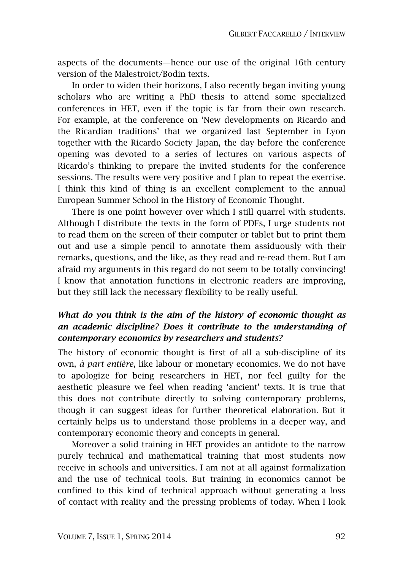aspects of the documents—hence our use of the original 16th century version of the Malestroict/Bodin texts.

In order to widen their horizons, I also recently began inviting young scholars who are writing a PhD thesis to attend some specialized conferences in HET, even if the topic is far from their own research. For example, at the conference on 'New developments on Ricardo and the Ricardian traditions' that we organized last September in Lyon together with the Ricardo Society Japan, the day before the conference opening was devoted to a series of lectures on various aspects of Ricardo's thinking to prepare the invited students for the conference sessions. The results were very positive and I plan to repeat the exercise. I think this kind of thing is an excellent complement to the annual European Summer School in the History of Economic Thought.

There is one point however over which I still quarrel with students. Although I distribute the texts in the form of PDFs, I urge students not to read them on the screen of their computer or tablet but to print them out and use a simple pencil to annotate them assiduously with their remarks, questions, and the like, as they read and re-read them. But I am afraid my arguments in this regard do not seem to be totally convincing! I know that annotation functions in electronic readers are improving, but they still lack the necessary flexibility to be really useful.

## *What do you think is the aim of the history of economic thought as an academic discipline? Does it contribute to the understanding of contemporary economics by researchers and students?*

The history of economic thought is first of all a sub-discipline of its own, *à part entière*, like labour or monetary economics. We do not have to apologize for being researchers in HET, nor feel guilty for the aesthetic pleasure we feel when reading 'ancient' texts. It is true that this does not contribute directly to solving contemporary problems, though it can suggest ideas for further theoretical elaboration. But it certainly helps us to understand those problems in a deeper way, and contemporary economic theory and concepts in general.

Moreover a solid training in HET provides an antidote to the narrow purely technical and mathematical training that most students now receive in schools and universities. I am not at all against formalization and the use of technical tools. But training in economics cannot be confined to this kind of technical approach without generating a loss of contact with reality and the pressing problems of today. When I look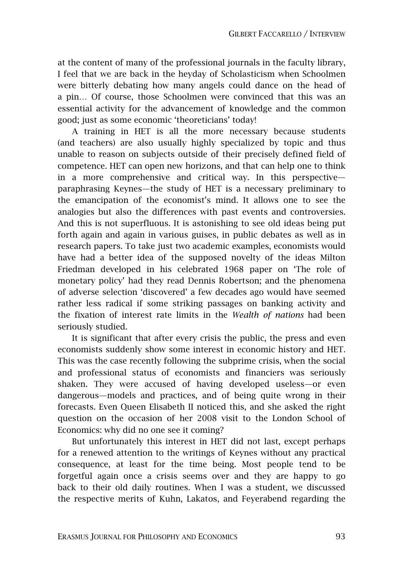at the content of many of the professional journals in the faculty library, I feel that we are back in the heyday of Scholasticism when Schoolmen were bitterly debating how many angels could dance on the head of a pin… Of course, those Schoolmen were convinced that this was an essential activity for the advancement of knowledge and the common good; just as some economic 'theoreticians' today!

A training in HET is all the more necessary because students (and teachers) are also usually highly specialized by topic and thus unable to reason on subjects outside of their precisely defined field of competence. HET can open new horizons, and that can help one to think in a more comprehensive and critical way. In this perspective paraphrasing Keynes—the study of HET is a necessary preliminary to the emancipation of the economist's mind. It allows one to see the analogies but also the differences with past events and controversies. And this is not superfluous. It is astonishing to see old ideas being put forth again and again in various guises, in public debates as well as in research papers. To take just two academic examples, economists would have had a better idea of the supposed novelty of the ideas Milton Friedman developed in his celebrated 1968 paper on 'The role of monetary policy' had they read Dennis Robertson; and the phenomena of adverse selection 'discovered' a few decades ago would have seemed rather less radical if some striking passages on banking activity and the fixation of interest rate limits in the *Wealth of nations* had been seriously studied.

It is significant that after every crisis the public, the press and even economists suddenly show some interest in economic history and HET. This was the case recently following the subprime crisis, when the social and professional status of economists and financiers was seriously shaken. They were accused of having developed useless—or even dangerous—models and practices, and of being quite wrong in their forecasts. Even Queen Elisabeth II noticed this, and she asked the right question on the occasion of her 2008 visit to the London School of Economics: why did no one see it coming?

But unfortunately this interest in HET did not last, except perhaps for a renewed attention to the writings of Keynes without any practical consequence, at least for the time being. Most people tend to be forgetful again once a crisis seems over and they are happy to go back to their old daily routines. When I was a student, we discussed the respective merits of Kuhn, Lakatos, and Feyerabend regarding the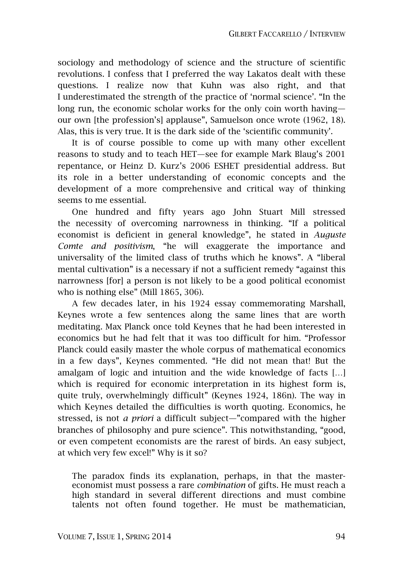sociology and methodology of science and the structure of scientific revolutions. I confess that I preferred the way Lakatos dealt with these questions. I realize now that Kuhn was also right, and that I underestimated the strength of the practice of 'normal science'. "In the long run, the economic scholar works for the only coin worth having our own [the profession's] applause", Samuelson once wrote (1962, 18). Alas, this is very true. It is the dark side of the 'scientific community'.

It is of course possible to come up with many other excellent reasons to study and to teach HET—see for example Mark Blaug's 2001 repentance, or Heinz D. Kurz's 2006 ESHET presidential address. But its role in a better understanding of economic concepts and the development of a more comprehensive and critical way of thinking seems to me essential.

One hundred and fifty years ago John Stuart Mill stressed the necessity of overcoming narrowness in thinking. "If a political economist is deficient in general knowledge", he stated in *Auguste Comte and positivism*, "he will exaggerate the importance and universality of the limited class of truths which he knows". A "liberal mental cultivation" is a necessary if not a sufficient remedy "against this narrowness [for] a person is not likely to be a good political economist who is nothing else" (Mill 1865, 306).

A few decades later, in his 1924 essay commemorating Marshall, Keynes wrote a few sentences along the same lines that are worth meditating. Max Planck once told Keynes that he had been interested in economics but he had felt that it was too difficult for him. "Professor Planck could easily master the whole corpus of mathematical economics in a few days", Keynes commented. "He did not mean that! But the amalgam of logic and intuition and the wide knowledge of facts […] which is required for economic interpretation in its highest form is, quite truly, overwhelmingly difficult" (Keynes 1924, 186n). The way in which Keynes detailed the difficulties is worth quoting. Economics, he stressed, is not *a priori* a difficult subject—"compared with the higher branches of philosophy and pure science". This notwithstanding, "good, or even competent economists are the rarest of birds. An easy subject, at which very few excel!" Why is it so?

The paradox finds its explanation, perhaps, in that the mastereconomist must possess a rare *combination* of gifts. He must reach a high standard in several different directions and must combine talents not often found together. He must be mathematician,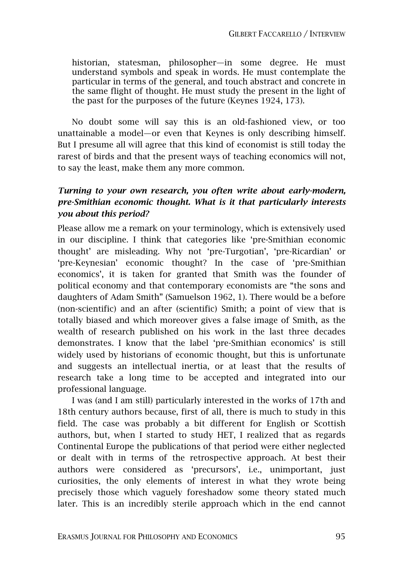historian, statesman, philosopher—in some degree. He must understand symbols and speak in words. He must contemplate the particular in terms of the general, and touch abstract and concrete in the same flight of thought. He must study the present in the light of the past for the purposes of the future (Keynes 1924, 173).

No doubt some will say this is an old-fashioned view, or too unattainable a model—or even that Keynes is only describing himself. But I presume all will agree that this kind of economist is still today the rarest of birds and that the present ways of teaching economics will not, to say the least, make them any more common.

#### *Turning to your own research, you often write about early-modern, pre-Smithian economic thought. What is it that particularly interests you about this period?*

Please allow me a remark on your terminology, which is extensively used in our discipline. I think that categories like 'pre-Smithian economic thought' are misleading. Why not 'pre-Turgotian', 'pre-Ricardian' or 'pre-Keynesian' economic thought? In the case of 'pre-Smithian economics', it is taken for granted that Smith was the founder of political economy and that contemporary economists are "the sons and daughters of Adam Smith" (Samuelson 1962, 1). There would be a before (non-scientific) and an after (scientific) Smith; a point of view that is totally biased and which moreover gives a false image of Smith, as the wealth of research published on his work in the last three decades demonstrates. I know that the label 'pre-Smithian economics' is still widely used by historians of economic thought, but this is unfortunate and suggests an intellectual inertia, or at least that the results of research take a long time to be accepted and integrated into our professional language.

I was (and I am still) particularly interested in the works of 17th and 18th century authors because, first of all, there is much to study in this field. The case was probably a bit different for English or Scottish authors, but, when I started to study HET, I realized that as regards Continental Europe the publications of that period were either neglected or dealt with in terms of the retrospective approach. At best their authors were considered as 'precursors', i.e., unimportant, just curiosities, the only elements of interest in what they wrote being precisely those which vaguely foreshadow some theory stated much later. This is an incredibly sterile approach which in the end cannot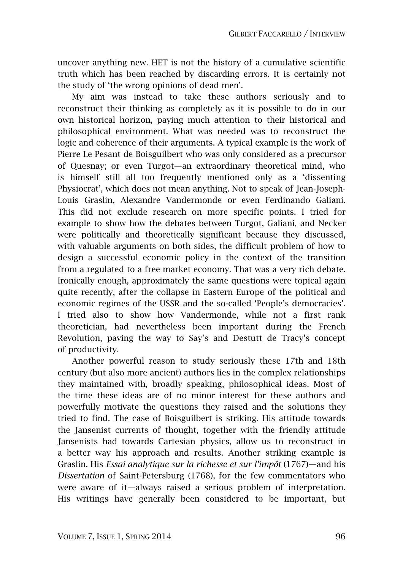uncover anything new. HET is not the history of a cumulative scientific truth which has been reached by discarding errors. It is certainly not the study of 'the wrong opinions of dead men'.

My aim was instead to take these authors seriously and to reconstruct their thinking as completely as it is possible to do in our own historical horizon, paying much attention to their historical and philosophical environment. What was needed was to reconstruct the logic and coherence of their arguments. A typical example is the work of Pierre Le Pesant de Boisguilbert who was only considered as a precursor of Quesnay; or even Turgot—an extraordinary theoretical mind, who is himself still all too frequently mentioned only as a 'dissenting Physiocrat', which does not mean anything. Not to speak of Jean-Joseph-Louis Graslin, Alexandre Vandermonde or even Ferdinando Galiani. This did not exclude research on more specific points. I tried for example to show how the debates between Turgot, Galiani, and Necker were politically and theoretically significant because they discussed, with valuable arguments on both sides, the difficult problem of how to design a successful economic policy in the context of the transition from a regulated to a free market economy. That was a very rich debate. Ironically enough, approximately the same questions were topical again quite recently, after the collapse in Eastern Europe of the political and economic regimes of the USSR and the so-called 'People's democracies'. I tried also to show how Vandermonde, while not a first rank theoretician, had nevertheless been important during the French Revolution, paving the way to Say's and Destutt de Tracy's concept of productivity.

Another powerful reason to study seriously these 17th and 18th century (but also more ancient) authors lies in the complex relationships they maintained with, broadly speaking, philosophical ideas. Most of the time these ideas are of no minor interest for these authors and powerfully motivate the questions they raised and the solutions they tried to find. The case of Boisguilbert is striking. His attitude towards the Jansenist currents of thought, together with the friendly attitude Jansenists had towards Cartesian physics, allow us to reconstruct in a better way his approach and results. Another striking example is Graslin. His *Essai analytique sur la richesse et sur l'impôt* (1767)—and his *Dissertation* of Saint-Petersburg (1768), for the few commentators who were aware of it—always raised a serious problem of interpretation. His writings have generally been considered to be important, but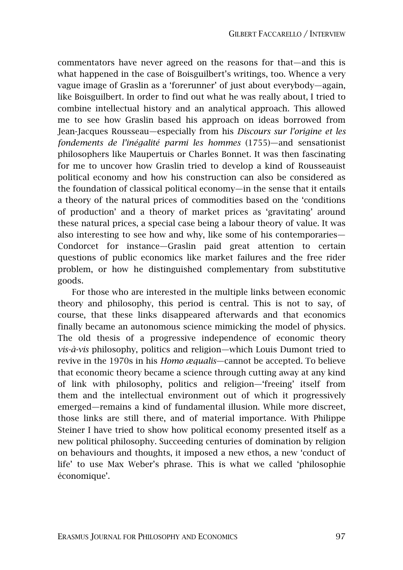commentators have never agreed on the reasons for that—and this is what happened in the case of Boisguilbert's writings, too. Whence a very vague image of Graslin as a 'forerunner' of just about everybody—again, like Boisguilbert. In order to find out what he was really about, I tried to combine intellectual history and an analytical approach. This allowed me to see how Graslin based his approach on ideas borrowed from Jean-Jacques Rousseau—especially from his *Discours sur l'origine et les fondements de l'inégalité parmi les hommes* (1755)—and sensationist philosophers like Maupertuis or Charles Bonnet. It was then fascinating for me to uncover how Graslin tried to develop a kind of Rousseauist political economy and how his construction can also be considered as the foundation of classical political economy—in the sense that it entails a theory of the natural prices of commodities based on the 'conditions of production' and a theory of market prices as 'gravitating' around these natural prices, a special case being a labour theory of value. It was also interesting to see how and why, like some of his contemporaries— Condorcet for instance—Graslin paid great attention to certain questions of public economics like market failures and the free rider problem, or how he distinguished complementary from substitutive goods.

For those who are interested in the multiple links between economic theory and philosophy, this period is central. This is not to say, of course, that these links disappeared afterwards and that economics finally became an autonomous science mimicking the model of physics. The old thesis of a progressive independence of economic theory *vis-à-vis* philosophy, politics and religion—which Louis Dumont tried to revive in the 1970s in his *Homo æqualis*—cannot be accepted. To believe that economic theory became a science through cutting away at any kind of link with philosophy, politics and religion—'freeing' itself from them and the intellectual environment out of which it progressively emerged—remains a kind of fundamental illusion. While more discreet, those links are still there, and of material importance. With Philippe Steiner I have tried to show how political economy presented itself as a new political philosophy. Succeeding centuries of domination by religion on behaviours and thoughts, it imposed a new ethos, a new 'conduct of life' to use Max Weber's phrase. This is what we called 'philosophie économique'.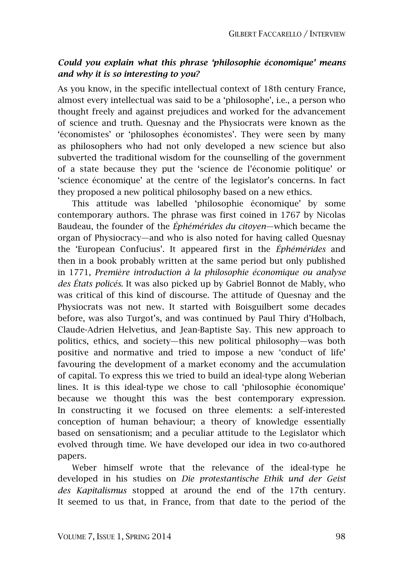#### *Could you explain what this phrase 'philosophie économique' means and why it is so interesting to you?*

As you know, in the specific intellectual context of 18th century France, almost every intellectual was said to be a 'philosophe', i.e., a person who thought freely and against prejudices and worked for the advancement of science and truth. Quesnay and the Physiocrats were known as the 'économistes' or 'philosophes économistes'. They were seen by many as philosophers who had not only developed a new science but also subverted the traditional wisdom for the counselling of the government of a state because they put the 'science de l'économie politique' or 'science économique' at the centre of the legislator's concerns. In fact they proposed a new political philosophy based on a new ethics.

This attitude was labelled 'philosophie économique' by some contemporary authors. The phrase was first coined in 1767 by Nicolas Baudeau, the founder of the *Éphémérides du citoyen*—which became the organ of Physiocracy—and who is also noted for having called Quesnay the 'European Confucius'. It appeared first in the *Éphémérides* and then in a book probably written at the same period but only published in 1771, *Première introduction à la philosophie économique ou analyse des États policés*. It was also picked up by Gabriel Bonnot de Mably, who was critical of this kind of discourse. The attitude of Quesnay and the Physiocrats was not new. It started with Boisguilbert some decades before, was also Turgot's, and was continued by Paul Thiry d'Holbach, Claude-Adrien Helvetius, and Jean-Baptiste Say. This new approach to politics, ethics, and society—this new political philosophy—was both positive and normative and tried to impose a new 'conduct of life' favouring the development of a market economy and the accumulation of capital. To express this we tried to build an ideal-type along Weberian lines. It is this ideal-type we chose to call 'philosophie économique' because we thought this was the best contemporary expression. In constructing it we focused on three elements: a self-interested conception of human behaviour; a theory of knowledge essentially based on sensationism; and a peculiar attitude to the Legislator which evolved through time. We have developed our idea in two co-authored papers.

Weber himself wrote that the relevance of the ideal-type he developed in his studies on *Die protestantische Ethik und der Geist des Kapitalismus* stopped at around the end of the 17th century. It seemed to us that, in France, from that date to the period of the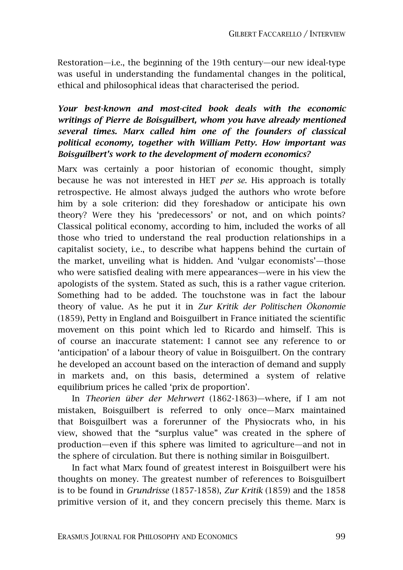Restoration—i.e., the beginning of the 19th century—our new ideal-type was useful in understanding the fundamental changes in the political, ethical and philosophical ideas that characterised the period.

#### *Your best-known and most-cited book deals with the economic writings of Pierre de Boisguilbert, whom you have already mentioned several times. Marx called him one of the founders of classical political economy, together with William Petty. How important was Boisguilbert's work to the development of modern economics?*

Marx was certainly a poor historian of economic thought, simply because he was not interested in HET *per se*. His approach is totally retrospective. He almost always judged the authors who wrote before him by a sole criterion: did they foreshadow or anticipate his own theory? Were they his 'predecessors' or not, and on which points? Classical political economy, according to him, included the works of all those who tried to understand the real production relationships in a capitalist society, i.e., to describe what happens behind the curtain of the market, unveiling what is hidden. And 'vulgar economists'—those who were satisfied dealing with mere appearances—were in his view the apologists of the system. Stated as such, this is a rather vague criterion. Something had to be added. The touchstone was in fact the labour theory of value. As he put it in *Zur Kritik der Politischen Ökonomie*  (1859), Petty in England and Boisguilbert in France initiated the scientific movement on this point which led to Ricardo and himself. This is of course an inaccurate statement: I cannot see any reference to or 'anticipation' of a labour theory of value in Boisguilbert. On the contrary he developed an account based on the interaction of demand and supply in markets and, on this basis, determined a system of relative equilibrium prices he called 'prix de proportion'.

In *Theorien über der Mehrwert* (1862-1863)—where, if I am not mistaken, Boisguilbert is referred to only once—Marx maintained that Boisguilbert was a forerunner of the Physiocrats who, in his view, showed that the "surplus value" was created in the sphere of production—even if this sphere was limited to agriculture—and not in the sphere of circulation. But there is nothing similar in Boisguilbert.

In fact what Marx found of greatest interest in Boisguilbert were his thoughts on money. The greatest number of references to Boisguilbert is to be found in *Grundrisse* (1857-1858), *Zur Kritik* (1859) and the 1858 primitive version of it, and they concern precisely this theme. Marx is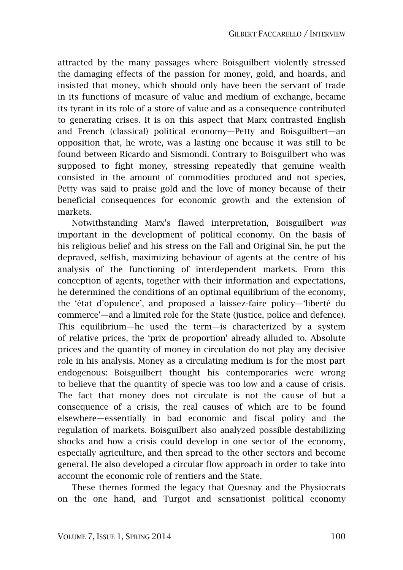attracted by the many passages where Boisguilbert violently stressed the damaging effects of the passion for money, gold, and hoards, and insisted that money, which should only have been the servant of trade in its functions of measure of value and medium of exchange, became its tyrant in its role of a store of value and as a consequence contributed to generating crises. It is on this aspect that Marx contrasted English and French (classical) political economy—Petty and Boisguilbert—an opposition that, he wrote, was a lasting one because it was still to be found between Ricardo and Sismondi. Contrary to Boisguilbert who was supposed to fight money, stressing repeatedly that genuine wealth consisted in the amount of commodities produced and not species, Petty was said to praise gold and the love of money because of their beneficial consequences for economic growth and the extension of markets.

Notwithstanding Marx's flawed interpretation, Boisguilbert *was* important in the development of political economy. On the basis of his religious belief and his stress on the Fall and Original Sin, he put the depraved, selfish, maximizing behaviour of agents at the centre of his analysis of the functioning of interdependent markets. From this conception of agents, together with their information and expectations, he determined the conditions of an optimal equilibrium of the economy, the 'état d'opulence', and proposed a laissez-faire policy—'liberté du commerce'—and a limited role for the State (justice, police and defence). This equilibrium—he used the term—is characterized by a system of relative prices, the 'prix de proportion' already alluded to. Absolute prices and the quantity of money in circulation do not play any decisive role in his analysis. Money as a circulating medium is for the most part endogenous: Boisguilbert thought his contemporaries were wrong to believe that the quantity of specie was too low and a cause of crisis. The fact that money does not circulate is not the cause of but a consequence of a crisis, the real causes of which are to be found elsewhere—essentially in bad economic and fiscal policy and the regulation of markets. Boisguilbert also analyzed possible destabilizing shocks and how a crisis could develop in one sector of the economy, especially agriculture, and then spread to the other sectors and become general. He also developed a circular flow approach in order to take into account the economic role of rentiers and the State.

These themes formed the legacy that Quesnay and the Physiocrats on the one hand, and Turgot and sensationist political economy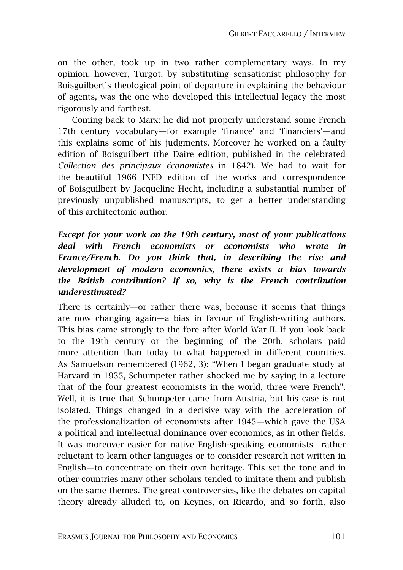on the other, took up in two rather complementary ways. In my opinion, however, Turgot, by substituting sensationist philosophy for Boisguilbert's theological point of departure in explaining the behaviour of agents, was the one who developed this intellectual legacy the most rigorously and farthest.

Coming back to Marx: he did not properly understand some French 17th century vocabulary—for example 'finance' and 'financiers'—and this explains some of his judgments. Moreover he worked on a faulty edition of Boisguilbert (the Daire edition, published in the celebrated *Collection des principaux économistes* in 1842). We had to wait for the beautiful 1966 INED edition of the works and correspondence of Boisguilbert by Jacqueline Hecht, including a substantial number of previously unpublished manuscripts, to get a better understanding of this architectonic author.

#### *Except for your work on the 19th century, most of your publications deal with French economists or economists who wrote in France/French. Do you think that, in describing the rise and development of modern economics, there exists a bias towards the British contribution? If so, why is the French contribution underestimated?*

There is certainly—or rather there was, because it seems that things are now changing again—a bias in favour of English-writing authors. This bias came strongly to the fore after World War II. If you look back to the 19th century or the beginning of the 20th, scholars paid more attention than today to what happened in different countries. As Samuelson remembered (1962, 3): "When I began graduate study at Harvard in 1935, Schumpeter rather shocked me by saying in a lecture that of the four greatest economists in the world, three were French". Well, it is true that Schumpeter came from Austria, but his case is not isolated. Things changed in a decisive way with the acceleration of the professionalization of economists after 1945—which gave the USA a political and intellectual dominance over economics, as in other fields. It was moreover easier for native English-speaking economists—rather reluctant to learn other languages or to consider research not written in English—to concentrate on their own heritage. This set the tone and in other countries many other scholars tended to imitate them and publish on the same themes. The great controversies, like the debates on capital theory already alluded to, on Keynes, on Ricardo, and so forth, also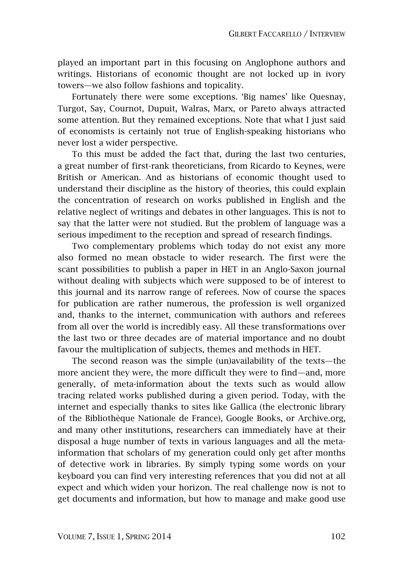played an important part in this focusing on Anglophone authors and writings. Historians of economic thought are not locked up in ivory towers—we also follow fashions and topicality.

Fortunately there were some exceptions. 'Big names' like Quesnay, Turgot, Say, Cournot, Dupuit, Walras, Marx, or Pareto always attracted some attention. But they remained exceptions. Note that what I just said of economists is certainly not true of English-speaking historians who never lost a wider perspective.

To this must be added the fact that, during the last two centuries, a great number of first-rank theoreticians, from Ricardo to Keynes, were British or American. And as historians of economic thought used to understand their discipline as the history of theories, this could explain the concentration of research on works published in English and the relative neglect of writings and debates in other languages. This is not to say that the latter were not studied. But the problem of language was a serious impediment to the reception and spread of research findings.

Two complementary problems which today do not exist any more also formed no mean obstacle to wider research. The first were the scant possibilities to publish a paper in HET in an Anglo-Saxon journal without dealing with subjects which were supposed to be of interest to this journal and its narrow range of referees. Now of course the spaces for publication are rather numerous, the profession is well organized and, thanks to the internet, communication with authors and referees from all over the world is incredibly easy. All these transformations over the last two or three decades are of material importance and no doubt favour the multiplication of subjects, themes and methods in HET.

The second reason was the simple (un)availability of the texts—the more ancient they were, the more difficult they were to find—and, more generally, of meta-information about the texts such as would allow tracing related works published during a given period. Today, with the internet and especially thanks to sites like Gallica (the electronic library of the Bibliothèque Nationale de France), Google Books, or Archive.org, and many other institutions, researchers can immediately have at their disposal a huge number of texts in various languages and all the metainformation that scholars of my generation could only get after months of detective work in libraries. By simply typing some words on your keyboard you can find very interesting references that you did not at all expect and which widen your horizon. The real challenge now is not to get documents and information, but how to manage and make good use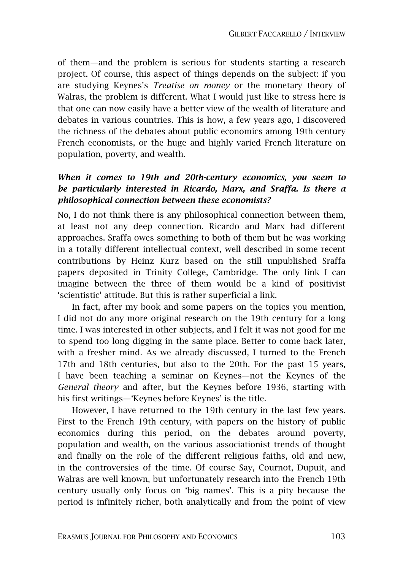of them—and the problem is serious for students starting a research project. Of course, this aspect of things depends on the subject: if you are studying Keynes's *Treatise on money* or the monetary theory of Walras, the problem is different. What I would just like to stress here is that one can now easily have a better view of the wealth of literature and debates in various countries. This is how, a few years ago, I discovered the richness of the debates about public economics among 19th century French economists, or the huge and highly varied French literature on population, poverty, and wealth.

#### *When it comes to 19th and 20th-century economics, you seem to be particularly interested in Ricardo, Marx, and Sraffa. Is there a philosophical connection between these economists?*

No, I do not think there is any philosophical connection between them, at least not any deep connection. Ricardo and Marx had different approaches. Sraffa owes something to both of them but he was working in a totally different intellectual context, well described in some recent contributions by Heinz Kurz based on the still unpublished Sraffa papers deposited in Trinity College, Cambridge. The only link I can imagine between the three of them would be a kind of positivist 'scientistic' attitude. But this is rather superficial a link.

In fact, after my book and some papers on the topics you mention, I did not do any more original research on the 19th century for a long time. I was interested in other subjects, and I felt it was not good for me to spend too long digging in the same place. Better to come back later, with a fresher mind. As we already discussed, I turned to the French 17th and 18th centuries, but also to the 20th. For the past 15 years, I have been teaching a seminar on Keynes—not the Keynes of the *General theory* and after, but the Keynes before 1936, starting with his first writings—'Keynes before Keynes' is the title.

However, I have returned to the 19th century in the last few years. First to the French 19th century, with papers on the history of public economics during this period, on the debates around poverty, population and wealth, on the various associationist trends of thought and finally on the role of the different religious faiths, old and new, in the controversies of the time. Of course Say, Cournot, Dupuit, and Walras are well known, but unfortunately research into the French 19th century usually only focus on 'big names'. This is a pity because the period is infinitely richer, both analytically and from the point of view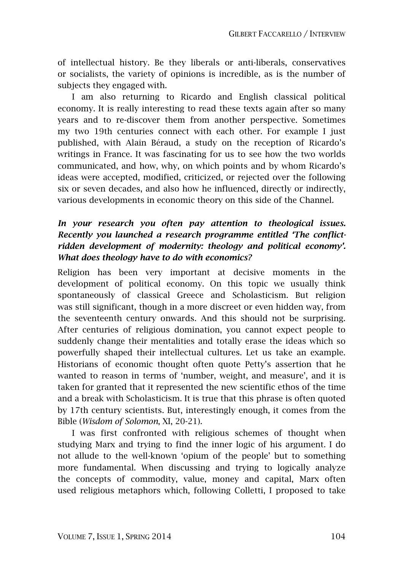of intellectual history. Be they liberals or anti-liberals, conservatives or socialists, the variety of opinions is incredible, as is the number of subjects they engaged with.

I am also returning to Ricardo and English classical political economy. It is really interesting to read these texts again after so many years and to re-discover them from another perspective. Sometimes my two 19th centuries connect with each other. For example I just published, with Alain Béraud, a study on the reception of Ricardo's writings in France. It was fascinating for us to see how the two worlds communicated, and how, why, on which points and by whom Ricardo's ideas were accepted, modified, criticized, or rejected over the following six or seven decades, and also how he influenced, directly or indirectly, various developments in economic theory on this side of the Channel.

#### *In your research you often pay attention to theological issues. Recently you launched a research programme entitled 'The conflictridden development of modernity: theology and political economy'. What does theology have to do with economics?*

Religion has been very important at decisive moments in the development of political economy. On this topic we usually think spontaneously of classical Greece and Scholasticism. But religion was still significant, though in a more discreet or even hidden way, from the seventeenth century onwards. And this should not be surprising. After centuries of religious domination, you cannot expect people to suddenly change their mentalities and totally erase the ideas which so powerfully shaped their intellectual cultures. Let us take an example. Historians of economic thought often quote Petty's assertion that he wanted to reason in terms of 'number, weight, and measure', and it is taken for granted that it represented the new scientific ethos of the time and a break with Scholasticism. It is true that this phrase is often quoted by 17th century scientists. But, interestingly enough, it comes from the Bible (*Wisdom of Solomon*, XI, 20-21).

I was first confronted with religious schemes of thought when studying Marx and trying to find the inner logic of his argument. I do not allude to the well-known 'opium of the people' but to something more fundamental. When discussing and trying to logically analyze the concepts of commodity, value, money and capital, Marx often used religious metaphors which, following Colletti, I proposed to take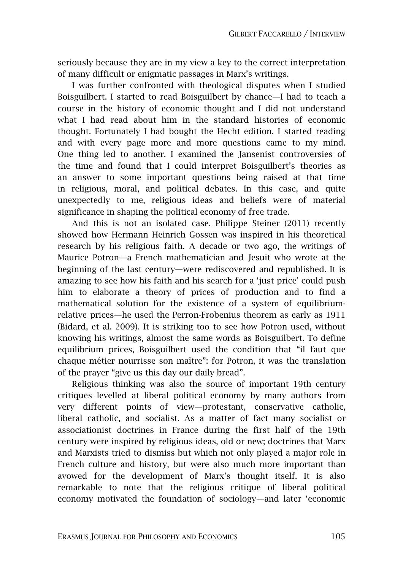seriously because they are in my view a key to the correct interpretation of many difficult or enigmatic passages in Marx's writings.

I was further confronted with theological disputes when I studied Boisguilbert. I started to read Boisguilbert by chance—I had to teach a course in the history of economic thought and I did not understand what I had read about him in the standard histories of economic thought. Fortunately I had bought the Hecht edition. I started reading and with every page more and more questions came to my mind. One thing led to another. I examined the Jansenist controversies of the time and found that I could interpret Boisguilbert's theories as an answer to some important questions being raised at that time in religious, moral, and political debates. In this case, and quite unexpectedly to me, religious ideas and beliefs were of material significance in shaping the political economy of free trade.

And this is not an isolated case. Philippe Steiner (2011) recently showed how Hermann Heinrich Gossen was inspired in his theoretical research by his religious faith. A decade or two ago, the writings of Maurice Potron—a French mathematician and Jesuit who wrote at the beginning of the last century—were rediscovered and republished. It is amazing to see how his faith and his search for a 'just price' could push him to elaborate a theory of prices of production and to find a mathematical solution for the existence of a system of equilibriumrelative prices—he used the Perron-Frobenius theorem as early as 1911 (Bidard, et al. 2009). It is striking too to see how Potron used, without knowing his writings, almost the same words as Boisguilbert. To define equilibrium prices, Boisguilbert used the condition that "il faut que chaque métier nourrisse son maître": for Potron, it was the translation of the prayer "give us this day our daily bread".

Religious thinking was also the source of important 19th century critiques levelled at liberal political economy by many authors from very different points of view—protestant, conservative catholic, liberal catholic, and socialist. As a matter of fact many socialist or associationist doctrines in France during the first half of the 19th century were inspired by religious ideas, old or new; doctrines that Marx and Marxists tried to dismiss but which not only played a major role in French culture and history, but were also much more important than avowed for the development of Marx's thought itself. It is also remarkable to note that the religious critique of liberal political economy motivated the foundation of sociology—and later 'economic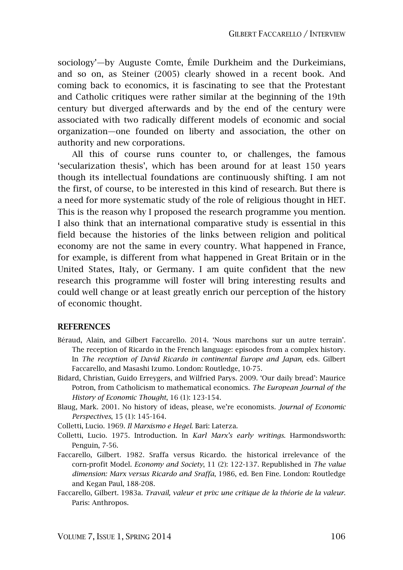sociology'—by Auguste Comte, Émile Durkheim and the Durkeimians, and so on, as Steiner (2005) clearly showed in a recent book. And coming back to economics, it is fascinating to see that the Protestant and Catholic critiques were rather similar at the beginning of the 19th century but diverged afterwards and by the end of the century were associated with two radically different models of economic and social organization—one founded on liberty and association, the other on authority and new corporations.

All this of course runs counter to, or challenges, the famous 'secularization thesis', which has been around for at least 150 years though its intellectual foundations are continuously shifting. I am not the first, of course, to be interested in this kind of research. But there is a need for more systematic study of the role of religious thought in HET. This is the reason why I proposed the research programme you mention. I also think that an international comparative study is essential in this field because the histories of the links between religion and political economy are not the same in every country. What happened in France, for example, is different from what happened in Great Britain or in the United States, Italy, or Germany. I am quite confident that the new research this programme will foster will bring interesting results and could well change or at least greatly enrich our perception of the history of economic thought.

#### **REFERENCES**

- Béraud, Alain, and Gilbert Faccarello. 2014. 'Nous marchons sur un autre terrain'. The reception of Ricardo in the French language: episodes from a complex history. In *The reception of David Ricardo in continental Europe and Japan*, eds. Gilbert Faccarello, and Masashi Izumo. London: Routledge, 10-75.
- Bidard, Christian, Guido Erreygers, and Wilfried Parys. 2009. 'Our daily bread': Maurice Potron, from Catholicism to mathematical economics. *The European Journal of the History of Economic Thought*, 16 (1): 123-154.
- Blaug, Mark. 2001. No history of ideas, please, we're economists. *Journal of Economic Perspectives*, 15 (1): 145-164.

Colletti, Lucio. 1969. *Il Marxismo e Hegel*. Bari: Laterza.

- Colletti, Lucio. 1975. Introduction. In *Karl Marx's early writings*. Harmondsworth: Penguin, 7-56.
- Faccarello, Gilbert. 1982. Sraffa versus Ricardo. the historical irrelevance of the corn-profit Model. *Economy and Society*, 11 (2): 122-137. Republished in *The value dimension: Marx versus Ricardo and Sraffa*, 1986, ed. Ben Fine. London: Routledge and Kegan Paul, 188-208.
- Faccarello, Gilbert. 1983a. *Travail, valeur et prix: une critique de la théorie de la valeur*. Paris: Anthropos.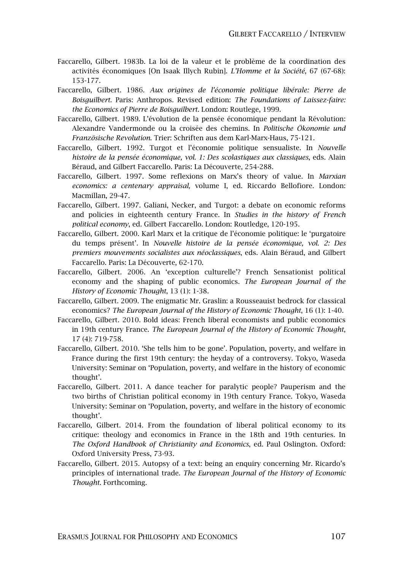- Faccarello, Gilbert. 1983b. La loi de la valeur et le problème de la coordination des activités économiques [On Isaak Illych Rubin]. *L'Homme et la Société*, 67 (67-68): 153-177.
- Faccarello, Gilbert. 1986. *Aux origines de l'économie politique libérale: Pierre de Boisguilbert*. Paris: Anthropos. Revised edition: *The Foundations of Laissez-faire: the Economics of Pierre de Boisguilbert*. London: Routlege, 1999.
- Faccarello, Gilbert. 1989. L'évolution de la pensée économique pendant la Révolution: Alexandre Vandermonde ou la croisée des chemins. In *Politische Ökonomie und Französische Revolution*. Trier: Schriften aus dem Karl-Marx-Haus, 75-121.
- Faccarello, Gilbert. 1992. Turgot et l'économie politique sensualiste. In *Nouvelle histoire de la pensée économique, vol. 1: Des scolastiques aux classiques*, eds. Alain Béraud, and Gilbert Faccarello. Paris: La Découverte, 254-288.
- Faccarello, Gilbert. 1997. Some reflexions on Marx's theory of value. In *Marxian economics: a centenary appraisal,* volume I, ed. Riccardo Bellofiore. London: Macmillan, 29-47.
- Faccarello, Gilbert. 1997. Galiani, Necker, and Turgot: a debate on economic reforms and policies in eighteenth century France. In *Studies in the history of French political economy*, ed. Gilbert Faccarello. London: Routledge, 120-195.
- Faccarello, Gilbert. 2000. Karl Marx et la critique de l'économie politique: le 'purgatoire du temps présent'. In *Nouvelle histoire de la pensée économique, vol. 2: Des premiers mouvements socialistes aux néoclassiques*, eds. Alain Béraud, and Gilbert Faccarello. Paris: La Découverte, 62-170.
- Faccarello, Gilbert. 2006. An 'exception culturelle'? French Sensationist political economy and the shaping of public economics. *The European Journal of the History of Economic Thought*, 13 (1): 1-38.
- Faccarello, Gilbert. 2009. The enigmatic Mr. Graslin: a Rousseauist bedrock for classical economics? *The European Journal of the History of Economic Thought*, 16 (1): 1-40.
- Faccarello, Gilbert. 2010. Bold ideas: French liberal economists and public economics in 19th century France. *The European Journal of the History of Economic Thought*, 17 (4): 719-758.
- Faccarello, Gilbert. 2010. 'She tells him to be gone'. Population, poverty, and welfare in France during the first 19th century: the heyday of a controversy. Tokyo, Waseda University: Seminar on 'Population, poverty, and welfare in the history of economic thought'.
- Faccarello, Gilbert. 2011. A dance teacher for paralytic people? Pauperism and the two births of Christian political economy in 19th century France. Tokyo, Waseda University: Seminar on 'Population, poverty, and welfare in the history of economic thought'.
- Faccarello, Gilbert. 2014. From the foundation of liberal political economy to its critique: theology and economics in France in the 18th and 19th centuries. In *The Oxford Handbook of Christianity and Economics*, ed. Paul Oslington. Oxford: Oxford University Press, 73-93.
- Faccarello, Gilbert. 2015. Autopsy of a text: being an enquiry concerning Mr. Ricardo's principles of international trade. *The European Journal of the History of Economic Thought*. Forthcoming.